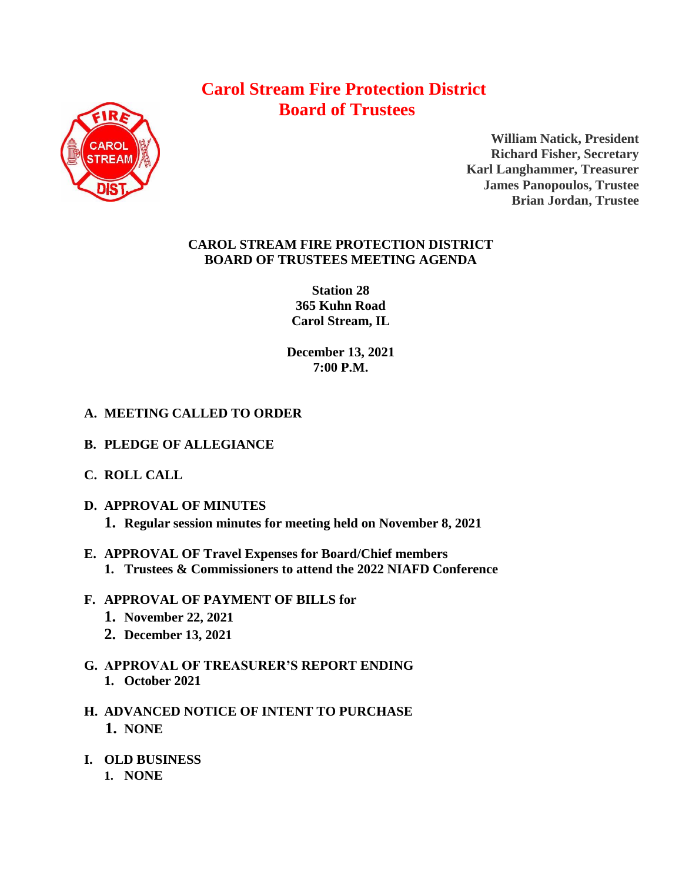# **Carol Stream Fire Protection District Board of Trustees**



**William Natick, President Richard Fisher, Secretary Karl Langhammer, Treasurer James Panopoulos, Trustee Brian Jordan, Trustee**

## **CAROL STREAM FIRE PROTECTION DISTRICT BOARD OF TRUSTEES MEETING AGENDA**

**Station 28 365 Kuhn Road Carol Stream, IL** 

**December 13, 2021 7:00 P.M.**

# **A. MEETING CALLED TO ORDER**

- **B. PLEDGE OF ALLEGIANCE**
- **C. ROLL CALL**
- **D. APPROVAL OF MINUTES 1. Regular session minutes for meeting held on November 8, 2021**
- **E. APPROVAL OF Travel Expenses for Board/Chief members 1. Trustees & Commissioners to attend the 2022 NIAFD Conference**
- **F. APPROVAL OF PAYMENT OF BILLS for**
	- **1. November 22, 2021**
	- **2. December 13, 2021**
- **G. APPROVAL OF TREASURER'S REPORT ENDING 1. October 2021**
- **H. ADVANCED NOTICE OF INTENT TO PURCHASE 1. NONE**
- **I. OLD BUSINESS**
	- **1. NONE**